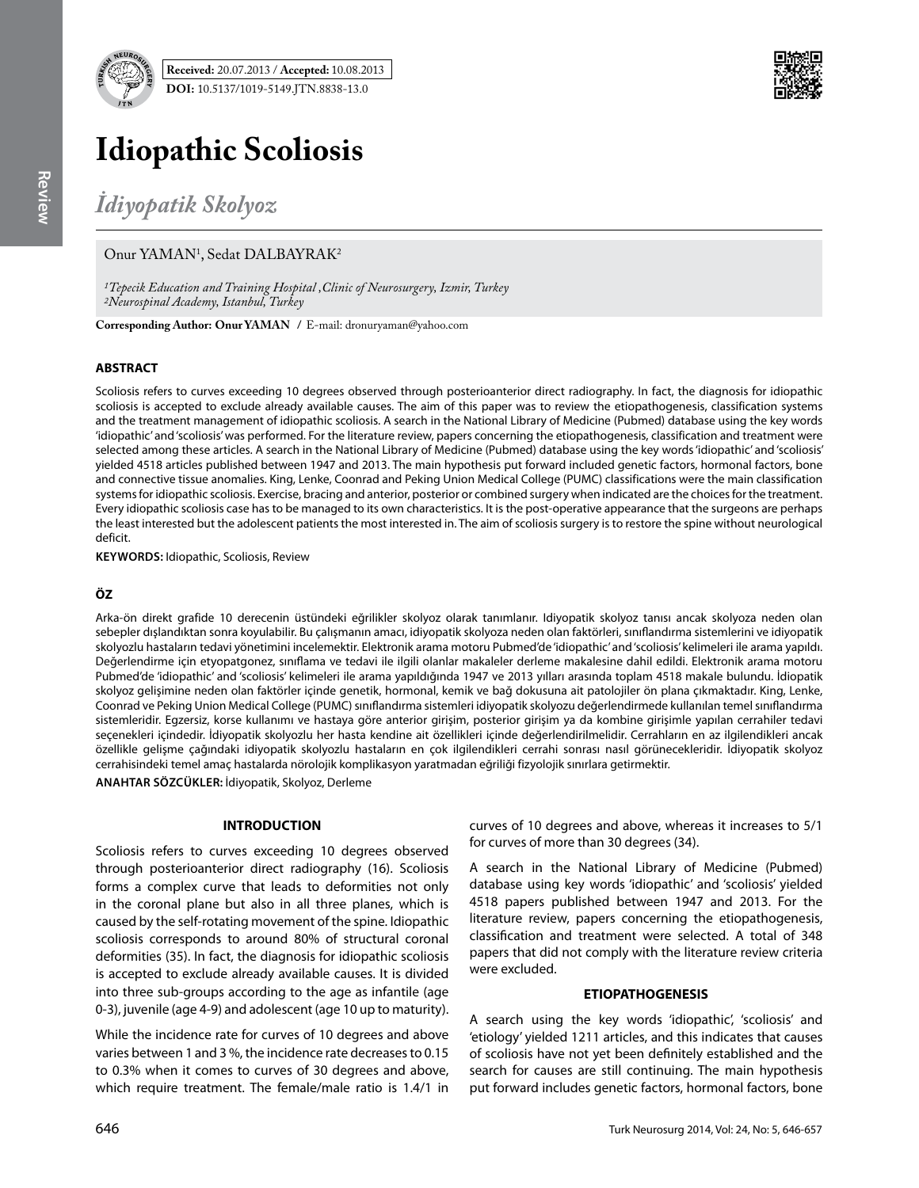

**Received:** 20.07.2013 / **Accepted:** 10.08.2013 **DOI:** 10.5137/1019-5149.JTN.8838-13.0



# **Idiopathic Scoliosis**

*İdiyopatik Skolyoz*

# Onur YAMAN<sup>1</sup>, Sedat DALBAYRAK<sup>2</sup>

*1Tepecik Education and Training Hospital ,Clinic of Neurosurgery, Izmir, Turkey 2Neurospinal Academy, Istanbul, Turkey*

**Corresponding Author: Onur Yaman /** E-mail: dronuryaman@yahoo.com

# **ABSTRACT**

Scoliosis refers to curves exceeding 10 degrees observed through posterioanterior direct radiography. In fact, the diagnosis for idiopathic scoliosis is accepted to exclude already available causes. The aim of this paper was to review the etiopathogenesis, classification systems and the treatment management of idiopathic scoliosis. A search in the National Library of Medicine (Pubmed) database using the key words 'idiopathic' and 'scoliosis' was performed. For the literature review, papers concerning the etiopathogenesis, classification and treatment were selected among these articles. A search in the National Library of Medicine (Pubmed) database using the key words 'idiopathic' and 'scoliosis' yielded 4518 articles published between 1947 and 2013. The main hypothesis put forward included genetic factors, hormonal factors, bone and connective tissue anomalies. King, Lenke, Coonrad and Peking Union Medical College (PUMC) classifications were the main classification systems for idiopathic scoliosis. Exercise, bracing and anterior, posterior or combined surgery when indicated are the choices for the treatment. Every idiopathic scoliosis case has to be managed to its own characteristics. It is the post-operative appearance that the surgeons are perhaps the least interested but the adolescent patients the most interested in. The aim of scoliosis surgery is to restore the spine without neurological deficit.

**Keywords:** Idiopathic, Scoliosis, Review

# **ÖZ**

Arka-ön direkt grafide 10 derecenin üstündeki eğrilikler skolyoz olarak tanımlanır. Idiyopatik skolyoz tanısı ancak skolyoza neden olan sebepler dışlandıktan sonra koyulabilir. Bu çalışmanın amacı, idiyopatik skolyoza neden olan faktörleri, sınıflandırma sistemlerini ve idiyopatik skolyozlu hastaların tedavi yönetimini incelemektir. Elektronik arama motoru Pubmed'de 'idiopathic' and 'scoliosis' kelimeleri ile arama yapıldı. Değerlendirme için etyopatgonez, sınıflama ve tedavi ile ilgili olanlar makaleler derleme makalesine dahil edildi. Elektronik arama motoru Pubmed'de 'idiopathic' and 'scoliosis' kelimeleri ile arama yapıldığında 1947 ve 2013 yılları arasında toplam 4518 makale bulundu. İdiopatik skolyoz gelişimine neden olan faktörler içinde genetik, hormonal, kemik ve bağ dokusuna ait patolojiler ön plana çıkmaktadır. King, Lenke, Coonrad ve Peking Union Medical College (PUMC) sınıflandırma sistemleri idiyopatik skolyozu değerlendirmede kullanılan temel sınıflandırma sistemleridir. Egzersiz, korse kullanımı ve hastaya göre anterior girişim, posterior girişim ya da kombine girişimle yapılan cerrahiler tedavi seçenekleri içindedir. İdiyopatik skolyozlu her hasta kendine ait özellikleri içinde değerlendirilmelidir. Cerrahların en az ilgilendikleri ancak özellikle gelişme çağındaki idiyopatik skolyozlu hastaların en çok ilgilendikleri cerrahi sonrası nasıl görünecekleridir. İdiyopatik skolyoz cerrahisindeki temel amaç hastalarda nörolojik komplikasyon yaratmadan eğriliği fizyolojik sınırlara getirmektir.

**ANAHTAR SÖZCÜKLER:** İdiyopatik, Skolyoz, Derleme

#### **INTRODUCTION**

Scoliosis refers to curves exceeding 10 degrees observed through posterioanterior direct radiography (16). Scoliosis forms a complex curve that leads to deformities not only in the coronal plane but also in all three planes, which is caused by the self-rotating movement of the spine. Idiopathic scoliosis corresponds to around 80% of structural coronal deformities (35). In fact, the diagnosis for idiopathic scoliosis is accepted to exclude already available causes. It is divided into three sub-groups according to the age as infantile (age 0-3), juvenile (age 4-9) and adolescent (age 10 up to maturity).

While the incidence rate for curves of 10 degrees and above varies between 1 and 3 %, the incidence rate decreases to 0.15 to 0.3% when it comes to curves of 30 degrees and above, which require treatment. The female/male ratio is 1.4/1 in curves of 10 degrees and above, whereas it increases to 5/1 for curves of more than 30 degrees (34).

A search in the National Library of Medicine (Pubmed) database using key words 'idiopathic' and 'scoliosis' yielded 4518 papers published between 1947 and 2013. For the literature review, papers concerning the etiopathogenesis, classification and treatment were selected. A total of 348 papers that did not comply with the literature review criteria were excluded.

# **ETIOPATHOGENESIS**

A search using the key words 'idiopathic', 'scoliosis' and 'etiology' yielded 1211 articles, and this indicates that causes of scoliosis have not yet been definitely established and the search for causes are still continuing. The main hypothesis put forward includes genetic factors, hormonal factors, bone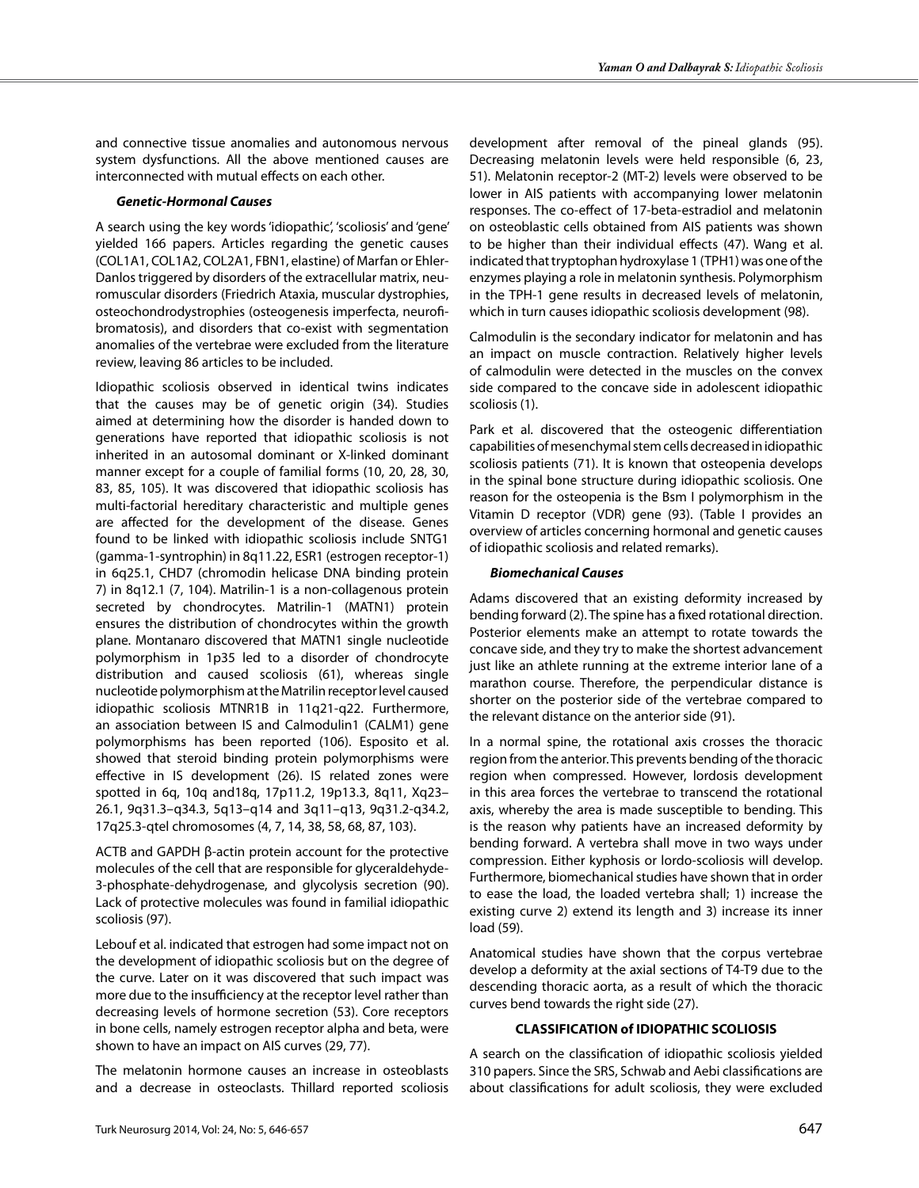and connective tissue anomalies and autonomous nervous system dysfunctions. All the above mentioned causes are interconnected with mutual effects on each other.

#### *Genetic-Hormonal Causes*

A search using the key words 'idiopathic', 'scoliosis' and 'gene' yielded 166 papers. Articles regarding the genetic causes (COL1A1, COL1A2, COL2A1, FBN1, elastine) of Marfan or Ehler-Danlos triggered by disorders of the extracellular matrix, neuromuscular disorders (Friedrich Ataxia, muscular dystrophies, osteochondrodystrophies (osteogenesis imperfecta, neurofibromatosis), and disorders that co-exist with segmentation anomalies of the vertebrae were excluded from the literature review, leaving 86 articles to be included.

Idiopathic scoliosis observed in identical twins indicates that the causes may be of genetic origin (34). Studies aimed at determining how the disorder is handed down to generations have reported that idiopathic scoliosis is not inherited in an autosomal dominant or X-linked dominant manner except for a couple of familial forms (10, 20, 28, 30, 83, 85, 105). It was discovered that idiopathic scoliosis has multi-factorial hereditary characteristic and multiple genes are affected for the development of the disease. Genes found to be linked with idiopathic scoliosis include SNTG1 (gamma-1-syntrophin) in 8q11.22, ESR1 (estrogen receptor-1) in 6q25.1, CHD7 (chromodin helicase DNA binding protein 7) in 8q12.1 (7, 104). Matrilin-1 is a non-collagenous protein secreted by chondrocytes. Matrilin-1 (MATN1) protein ensures the distribution of chondrocytes within the growth plane. Montanaro discovered that MATN1 single nucleotide polymorphism in 1p35 led to a disorder of chondrocyte distribution and caused scoliosis (61), whereas single nucleotide polymorphism at the Matrilin receptor level caused idiopathic scoliosis MTNR1B in 11q21-q22. Furthermore, an association between IS and Calmodulin1 (CALM1) gene polymorphisms has been reported (106). Esposito et al. showed that steroid binding protein polymorphisms were effective in IS development (26). IS related zones were spotted in 6q, 10q and18q, 17p11.2, 19p13.3, 8q11, Xq23– 26.1, 9q31.3–q34.3, 5q13–q14 and 3q11–q13, 9q31.2-q34.2, 17q25.3-qtel chromosomes (4, 7, 14, 38, 58, 68, 87, 103).

ACTB and GAPDH β-actin protein account for the protective molecules of the cell that are responsible for glyceraldehyde-3-phosphate-dehydrogenase, and glycolysis secretion (90). Lack of protective molecules was found in familial idiopathic scoliosis (97).

Lebouf et al. indicated that estrogen had some impact not on the development of idiopathic scoliosis but on the degree of the curve. Later on it was discovered that such impact was more due to the insufficiency at the receptor level rather than decreasing levels of hormone secretion (53). Core receptors in bone cells, namely estrogen receptor alpha and beta, were shown to have an impact on AIS curves (29, 77).

The melatonin hormone causes an increase in osteoblasts and a decrease in osteoclasts. Thillard reported scoliosis

development after removal of the pineal glands (95). Decreasing melatonin levels were held responsible (6, 23, 51). Melatonin receptor-2 (MT-2) levels were observed to be lower in AIS patients with accompanying lower melatonin responses. The co-effect of 17-beta-estradiol and melatonin on osteoblastic cells obtained from AIS patients was shown to be higher than their individual effects (47). Wang et al. indicated that tryptophan hydroxylase 1 (TPH1) was one of the enzymes playing a role in melatonin synthesis. Polymorphism in the TPH-1 gene results in decreased levels of melatonin, which in turn causes idiopathic scoliosis development (98).

Calmodulin is the secondary indicator for melatonin and has an impact on muscle contraction. Relatively higher levels of calmodulin were detected in the muscles on the convex side compared to the concave side in adolescent idiopathic scoliosis (1).

Park et al. discovered that the osteogenic differentiation capabilities of mesenchymal stem cells decreased in idiopathic scoliosis patients (71). It is known that osteopenia develops in the spinal bone structure during idiopathic scoliosis. One reason for the osteopenia is the Bsm I polymorphism in the Vitamin D receptor (VDR) gene (93). (Table I provides an overview of articles concerning hormonal and genetic causes of idiopathic scoliosis and related remarks).

#### *Biomechanical Causes*

Adams discovered that an existing deformity increased by bending forward (2). The spine has a fixed rotational direction. Posterior elements make an attempt to rotate towards the concave side, and they try to make the shortest advancement just like an athlete running at the extreme interior lane of a marathon course. Therefore, the perpendicular distance is shorter on the posterior side of the vertebrae compared to the relevant distance on the anterior side (91).

In a normal spine, the rotational axis crosses the thoracic region from the anterior. This prevents bending of the thoracic region when compressed. However, lordosis development in this area forces the vertebrae to transcend the rotational axis, whereby the area is made susceptible to bending. This is the reason why patients have an increased deformity by bending forward. A vertebra shall move in two ways under compression. Either kyphosis or lordo-scoliosis will develop. Furthermore, biomechanical studies have shown that in order to ease the load, the loaded vertebra shall; 1) increase the existing curve 2) extend its length and 3) increase its inner load (59).

Anatomical studies have shown that the corpus vertebrae develop a deformity at the axial sections of T4-T9 due to the descending thoracic aorta, as a result of which the thoracic curves bend towards the right side (27).

#### **CLASSIFICATION of IDIOPATHIC SCOLIOSIS**

A search on the classification of idiopathic scoliosis yielded 310 papers. Since the SRS, Schwab and Aebi classifications are about classifications for adult scoliosis, they were excluded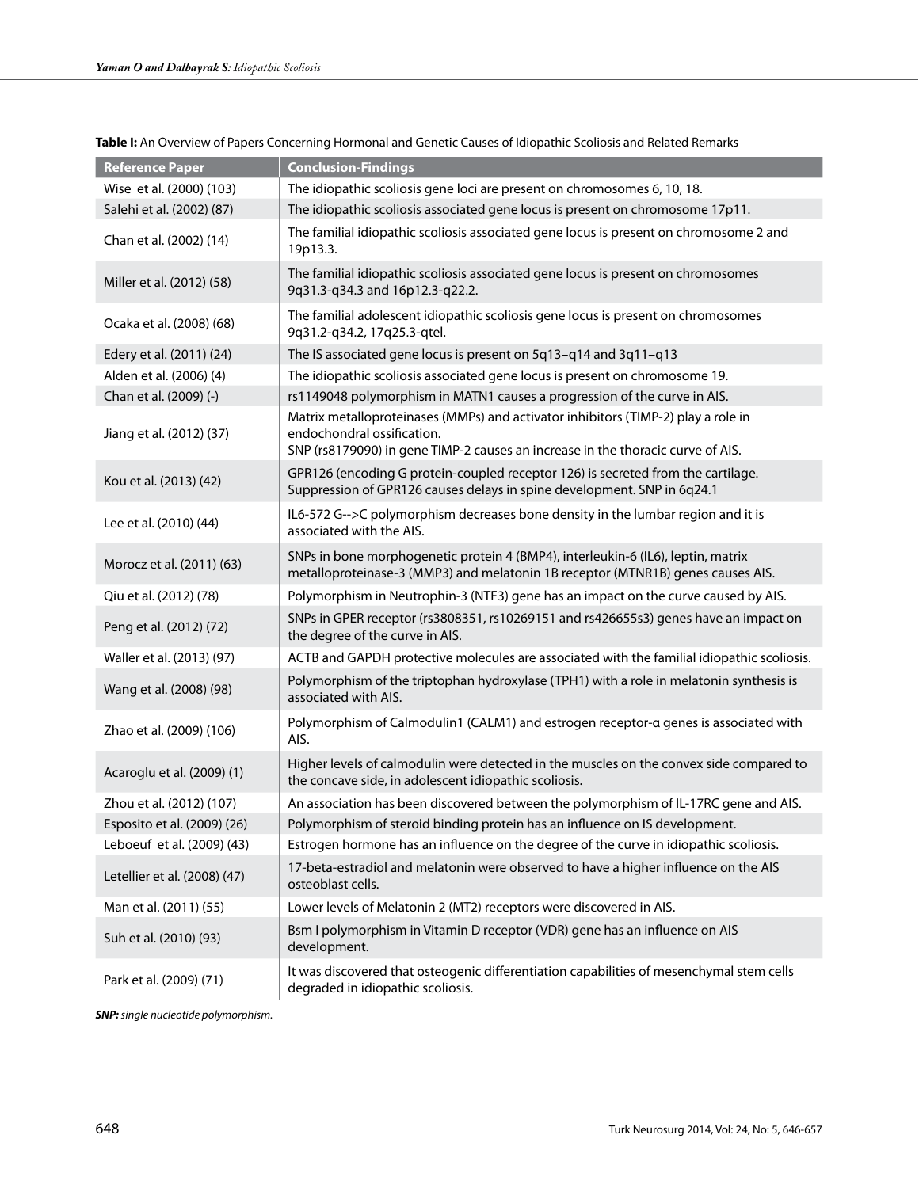| <b>Reference Paper</b>       | <b>Conclusion-Findings</b>                                                                                                                                                                         |  |
|------------------------------|----------------------------------------------------------------------------------------------------------------------------------------------------------------------------------------------------|--|
| Wise et al. (2000) (103)     | The idiopathic scoliosis gene loci are present on chromosomes 6, 10, 18.                                                                                                                           |  |
| Salehi et al. (2002) (87)    | The idiopathic scoliosis associated gene locus is present on chromosome 17p11.                                                                                                                     |  |
| Chan et al. (2002) (14)      | The familial idiopathic scoliosis associated gene locus is present on chromosome 2 and<br>19p13.3.                                                                                                 |  |
| Miller et al. (2012) (58)    | The familial idiopathic scoliosis associated gene locus is present on chromosomes<br>9q31.3-q34.3 and 16p12.3-q22.2.                                                                               |  |
| Ocaka et al. (2008) (68)     | The familial adolescent idiopathic scoliosis gene locus is present on chromosomes<br>9q31.2-q34.2, 17q25.3-qtel.                                                                                   |  |
| Edery et al. (2011) (24)     | The IS associated gene locus is present on 5q13-q14 and 3q11-q13                                                                                                                                   |  |
| Alden et al. (2006) (4)      | The idiopathic scoliosis associated gene locus is present on chromosome 19.                                                                                                                        |  |
| Chan et al. (2009) (-)       | rs1149048 polymorphism in MATN1 causes a progression of the curve in AIS.                                                                                                                          |  |
| Jiang et al. (2012) (37)     | Matrix metalloproteinases (MMPs) and activator inhibitors (TIMP-2) play a role in<br>endochondral ossification.<br>SNP (rs8179090) in gene TIMP-2 causes an increase in the thoracic curve of AIS. |  |
| Kou et al. (2013) (42)       | GPR126 (encoding G protein-coupled receptor 126) is secreted from the cartilage.<br>Suppression of GPR126 causes delays in spine development. SNP in 6q24.1                                        |  |
| Lee et al. (2010) (44)       | IL6-572 G-->C polymorphism decreases bone density in the lumbar region and it is<br>associated with the AIS.                                                                                       |  |
| Morocz et al. (2011) (63)    | SNPs in bone morphogenetic protein 4 (BMP4), interleukin-6 (IL6), leptin, matrix<br>metalloproteinase-3 (MMP3) and melatonin 1B receptor (MTNR1B) genes causes AIS.                                |  |
| Qiu et al. (2012) (78)       | Polymorphism in Neutrophin-3 (NTF3) gene has an impact on the curve caused by AIS.                                                                                                                 |  |
| Peng et al. (2012) (72)      | SNPs in GPER receptor (rs3808351, rs10269151 and rs426655s3) genes have an impact on<br>the degree of the curve in AIS.                                                                            |  |
| Waller et al. (2013) (97)    | ACTB and GAPDH protective molecules are associated with the familial idiopathic scoliosis.                                                                                                         |  |
| Wang et al. (2008) (98)      | Polymorphism of the triptophan hydroxylase (TPH1) with a role in melatonin synthesis is<br>associated with AIS.                                                                                    |  |
| Zhao et al. (2009) (106)     | Polymorphism of Calmodulin1 (CALM1) and estrogen receptor-a genes is associated with<br>AIS.                                                                                                       |  |
| Acaroglu et al. (2009) (1)   | Higher levels of calmodulin were detected in the muscles on the convex side compared to<br>the concave side, in adolescent idiopathic scoliosis.                                                   |  |
| Zhou et al. (2012) (107)     | An association has been discovered between the polymorphism of IL-17RC gene and AIS.                                                                                                               |  |
| Esposito et al. (2009) (26)  | Polymorphism of steroid binding protein has an influence on IS development.                                                                                                                        |  |
| Leboeuf et al. (2009) (43)   | Estrogen hormone has an influence on the degree of the curve in idiopathic scoliosis.                                                                                                              |  |
| Letellier et al. (2008) (47) | 17-beta-estradiol and melatonin were observed to have a higher influence on the AIS<br>osteoblast cells.                                                                                           |  |
| Man et al. (2011) (55)       | Lower levels of Melatonin 2 (MT2) receptors were discovered in AIS.                                                                                                                                |  |
| Suh et al. (2010) (93)       | Bsm I polymorphism in Vitamin D receptor (VDR) gene has an influence on AIS<br>development.                                                                                                        |  |
| Park et al. (2009) (71)      | It was discovered that osteogenic differentiation capabilities of mesenchymal stem cells<br>degraded in idiopathic scoliosis.                                                                      |  |

**Table I:** An Overview of Papers Concerning Hormonal and Genetic Causes of Idiopathic Scoliosis and Related Remarks

*SNP: single nucleotide polymorphism.*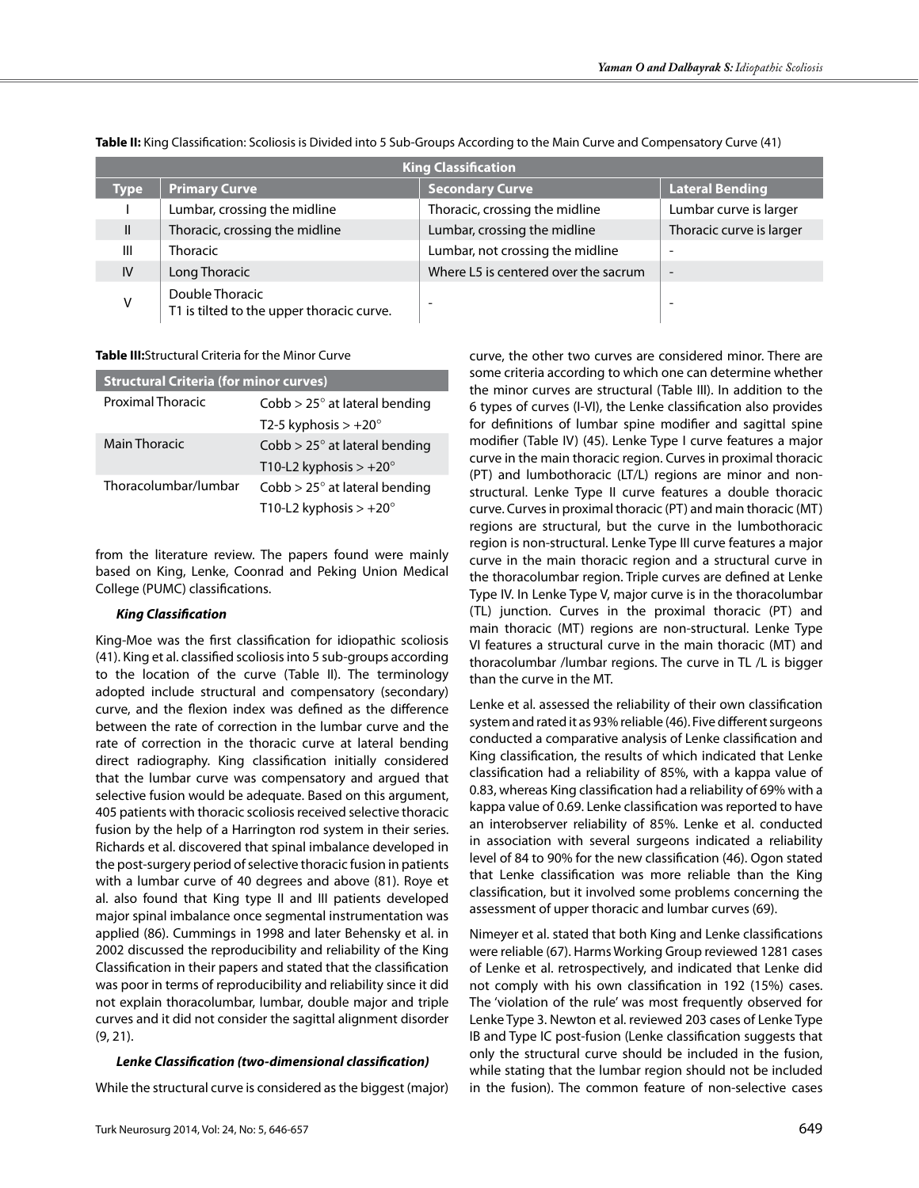| <b>King Classification</b> |                                                              |                                      |                              |  |  |
|----------------------------|--------------------------------------------------------------|--------------------------------------|------------------------------|--|--|
| <b>Type</b>                | <b>Primary Curve</b>                                         | <b>Secondary Curve</b>               | <b>Lateral Bending</b>       |  |  |
|                            | Lumbar, crossing the midline                                 | Thoracic, crossing the midline       | Lumbar curve is larger       |  |  |
| Ш                          | Thoracic, crossing the midline                               | Lumbar, crossing the midline         | Thoracic curve is larger     |  |  |
| Ш                          | <b>Thoracic</b>                                              | Lumbar, not crossing the midline     | -                            |  |  |
| IV                         | Long Thoracic                                                | Where L5 is centered over the sacrum | $\qquad \qquad \blacksquare$ |  |  |
| v                          | Double Thoracic<br>T1 is tilted to the upper thoracic curve. |                                      | -                            |  |  |

**Table II:** King Classification: Scoliosis is Divided into 5 Sub-Groups According to the Main Curve and Compensatory Curve (41)

#### **Table III:**Structural Criteria for the Minor Curve

| <b>Structural Criteria (for minor curves)</b> |  |  |
|-----------------------------------------------|--|--|
| $Cobb > 25^\circ$ at lateral bending          |  |  |
| T2-5 kyphosis $> +20^{\circ}$                 |  |  |
| $Cobb > 25^\circ$ at lateral bending          |  |  |
| T10-L2 kyphosis $> +20^{\circ}$               |  |  |
| $Cobb > 25^\circ$ at lateral bending          |  |  |
| T10-L2 kyphosis $> +20^{\circ}$               |  |  |
|                                               |  |  |

from the literature review. The papers found were mainly based on King, Lenke, Coonrad and Peking Union Medical College (PUMC) classifications.

# *King Classification*

King-Moe was the first classification for idiopathic scoliosis (41). King et al. classified scoliosis into 5 sub-groups according to the location of the curve (Table II). The terminology adopted include structural and compensatory (secondary) curve, and the flexion index was defined as the difference between the rate of correction in the lumbar curve and the rate of correction in the thoracic curve at lateral bending direct radiography. King classification initially considered that the lumbar curve was compensatory and argued that selective fusion would be adequate. Based on this argument, 405 patients with thoracic scoliosis received selective thoracic fusion by the help of a Harrington rod system in their series. Richards et al. discovered that spinal imbalance developed in the post-surgery period of selective thoracic fusion in patients with a lumbar curve of 40 degrees and above (81). Roye et al. also found that King type II and III patients developed major spinal imbalance once segmental instrumentation was applied (86). Cummings in 1998 and later Behensky et al. in 2002 discussed the reproducibility and reliability of the King Classification in their papers and stated that the classification was poor in terms of reproducibility and reliability since it did not explain thoracolumbar, lumbar, double major and triple curves and it did not consider the sagittal alignment disorder (9, 21).

# *Lenke Classification (two-dimensional classification)*

While the structural curve is considered as the biggest (major)

Turk Neurosurg 2014, Vol: 24, No: 5, 646-657 649

curve, the other two curves are considered minor. There are some criteria according to which one can determine whether the minor curves are structural (Table III). In addition to the 6 types of curves (I-VI), the Lenke classification also provides for definitions of lumbar spine modifier and sagittal spine modifier (Table IV) (45). Lenke Type I curve features a major curve in the main thoracic region. Curves in proximal thoracic (PT) and lumbothoracic (LT/L) regions are minor and nonstructural. Lenke Type II curve features a double thoracic curve. Curves in proximal thoracic (PT) and main thoracic (MT) regions are structural, but the curve in the lumbothoracic region is non-structural. Lenke Type III curve features a major curve in the main thoracic region and a structural curve in the thoracolumbar region. Triple curves are defined at Lenke Type IV. In Lenke Type V, major curve is in the thoracolumbar (TL) junction. Curves in the proximal thoracic (PT) and main thoracic (MT) regions are non-structural. Lenke Type VI features a structural curve in the main thoracic (MT) and thoracolumbar /lumbar regions. The curve in TL /L is bigger than the curve in the MT.

Lenke et al. assessed the reliability of their own classification system and rated it as 93% reliable (46). Five different surgeons conducted a comparative analysis of Lenke classification and King classification, the results of which indicated that Lenke classification had a reliability of 85%, with a kappa value of 0.83, whereas King classification had a reliability of 69% with a kappa value of 0.69. Lenke classification was reported to have an interobserver reliability of 85%. Lenke et al. conducted in association with several surgeons indicated a reliability level of 84 to 90% for the new classification (46). Ogon stated that Lenke classification was more reliable than the King classification, but it involved some problems concerning the assessment of upper thoracic and lumbar curves (69).

Nimeyer et al. stated that both King and Lenke classifications were reliable (67). Harms Working Group reviewed 1281 cases of Lenke et al. retrospectively, and indicated that Lenke did not comply with his own classification in 192 (15%) cases. The 'violation of the rule' was most frequently observed for Lenke Type 3. Newton et al. reviewed 203 cases of Lenke Type IB and Type IC post-fusion (Lenke classification suggests that only the structural curve should be included in the fusion, while stating that the lumbar region should not be included in the fusion). The common feature of non-selective cases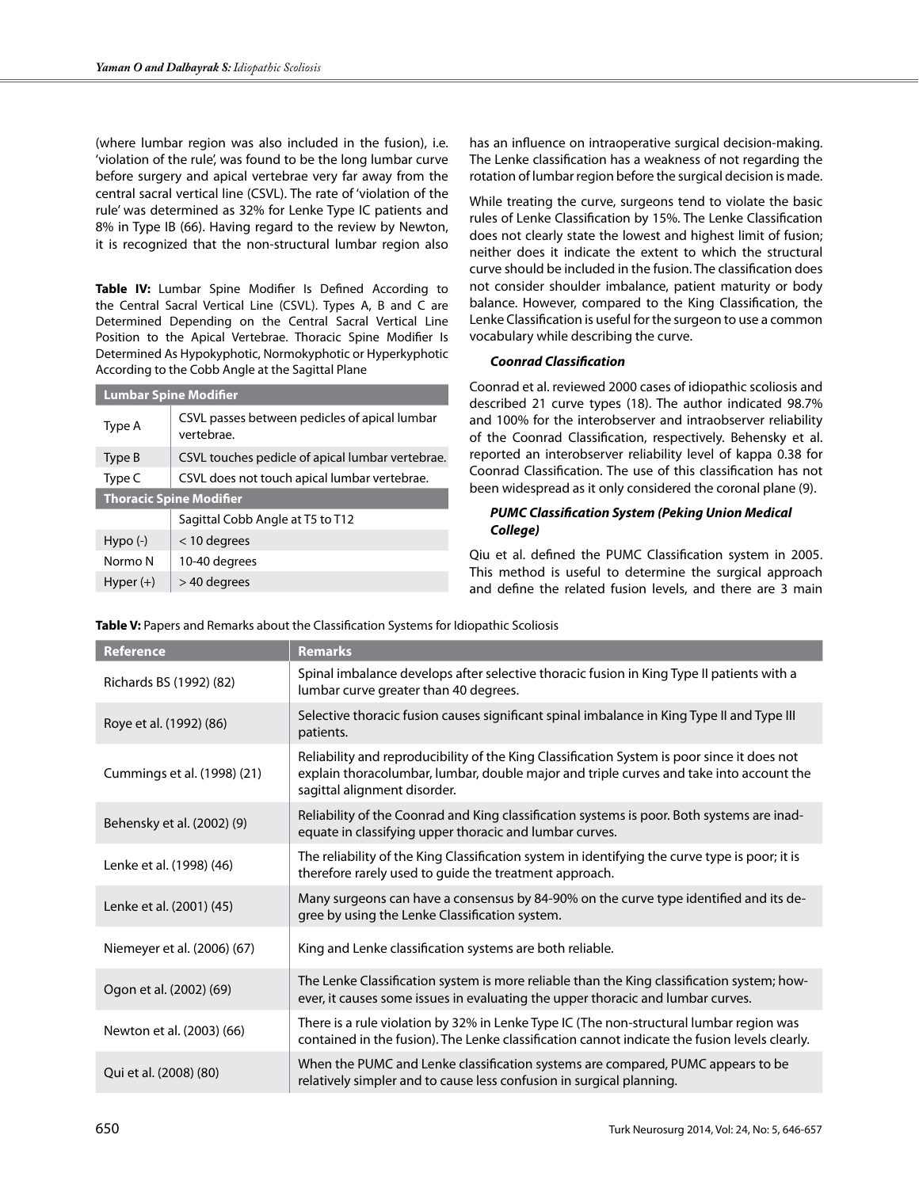(where lumbar region was also included in the fusion), i.e. 'violation of the rule', was found to be the long lumbar curve before surgery and apical vertebrae very far away from the central sacral vertical line (CSVL). The rate of 'violation of the rule' was determined as 32% for Lenke Type IC patients and 8% in Type IB (66). Having regard to the review by Newton, it is recognized that the non-structural lumbar region also

**Table IV:** Lumbar Spine Modifier Is Defined According to the Central Sacral Vertical Line (CSVL). Types A, B and C are Determined Depending on the Central Sacral Vertical Line Position to the Apical Vertebrae. Thoracic Spine Modifier Is Determined As Hypokyphotic, Normokyphotic or Hyperkyphotic According to the Cobb Angle at the Sagittal Plane

| <b>Lumbar Spine Modifier</b>   |                                                             |  |  |
|--------------------------------|-------------------------------------------------------------|--|--|
| Type A                         | CSVL passes between pedicles of apical lumbar<br>vertebrae. |  |  |
| Type B                         | CSVL touches pedicle of apical lumbar vertebrae.            |  |  |
| Type C                         | CSVL does not touch apical lumbar vertebrae.                |  |  |
| <b>Thoracic Spine Modifier</b> |                                                             |  |  |
|                                | Sagittal Cobb Angle at T5 to T12                            |  |  |
| $Hypo(-)$                      | $<$ 10 degrees                                              |  |  |
| Normo N                        | 10-40 degrees                                               |  |  |
| Hyper $(+)$                    | > 40 degrees                                                |  |  |

has an influence on intraoperative surgical decision-making. The Lenke classification has a weakness of not regarding the rotation of lumbar region before the surgical decision is made.

While treating the curve, surgeons tend to violate the basic rules of Lenke Classification by 15%. The Lenke Classification does not clearly state the lowest and highest limit of fusion; neither does it indicate the extent to which the structural curve should be included in the fusion. The classification does not consider shoulder imbalance, patient maturity or body balance. However, compared to the King Classification, the Lenke Classification is useful for the surgeon to use a common vocabulary while describing the curve.

# *Coonrad Classification*

Coonrad et al. reviewed 2000 cases of idiopathic scoliosis and described 21 curve types (18). The author indicated 98.7% and 100% for the interobserver and intraobserver reliability of the Coonrad Classification, respectively. Behensky et al. reported an interobserver reliability level of kappa 0.38 for Coonrad Classification. The use of this classification has not been widespread as it only considered the coronal plane (9).

# *PUMC Classification System (Peking Union Medical College)*

Qiu et al. defined the PUMC Classification system in 2005. This method is useful to determine the surgical approach and define the related fusion levels, and there are 3 main

| <b>Reference</b>            | <b>Remarks</b>                                                                                                                                                                                                         |
|-----------------------------|------------------------------------------------------------------------------------------------------------------------------------------------------------------------------------------------------------------------|
| Richards BS (1992) (82)     | Spinal imbalance develops after selective thoracic fusion in King Type II patients with a<br>lumbar curve greater than 40 degrees.                                                                                     |
| Roye et al. (1992) (86)     | Selective thoracic fusion causes significant spinal imbalance in King Type II and Type III<br>patients.                                                                                                                |
| Cummings et al. (1998) (21) | Reliability and reproducibility of the King Classification System is poor since it does not<br>explain thoracolumbar, lumbar, double major and triple curves and take into account the<br>sagittal alignment disorder. |
| Behensky et al. (2002) (9)  | Reliability of the Coonrad and King classification systems is poor. Both systems are inad-<br>equate in classifying upper thoracic and lumbar curves.                                                                  |
| Lenke et al. (1998) (46)    | The reliability of the King Classification system in identifying the curve type is poor; it is<br>therefore rarely used to guide the treatment approach.                                                               |
| Lenke et al. (2001) (45)    | Many surgeons can have a consensus by 84-90% on the curve type identified and its de-<br>gree by using the Lenke Classification system.                                                                                |
| Niemeyer et al. (2006) (67) | King and Lenke classification systems are both reliable.                                                                                                                                                               |
| Ogon et al. (2002) (69)     | The Lenke Classification system is more reliable than the King classification system; how-<br>ever, it causes some issues in evaluating the upper thoracic and lumbar curves.                                          |
| Newton et al. (2003) (66)   | There is a rule violation by 32% in Lenke Type IC (The non-structural lumbar region was<br>contained in the fusion). The Lenke classification cannot indicate the fusion levels clearly.                               |
| Qui et al. (2008) (80)      | When the PUMC and Lenke classification systems are compared, PUMC appears to be<br>relatively simpler and to cause less confusion in surgical planning.                                                                |

**Table V:** Papers and Remarks about the Classification Systems for Idiopathic Scoliosis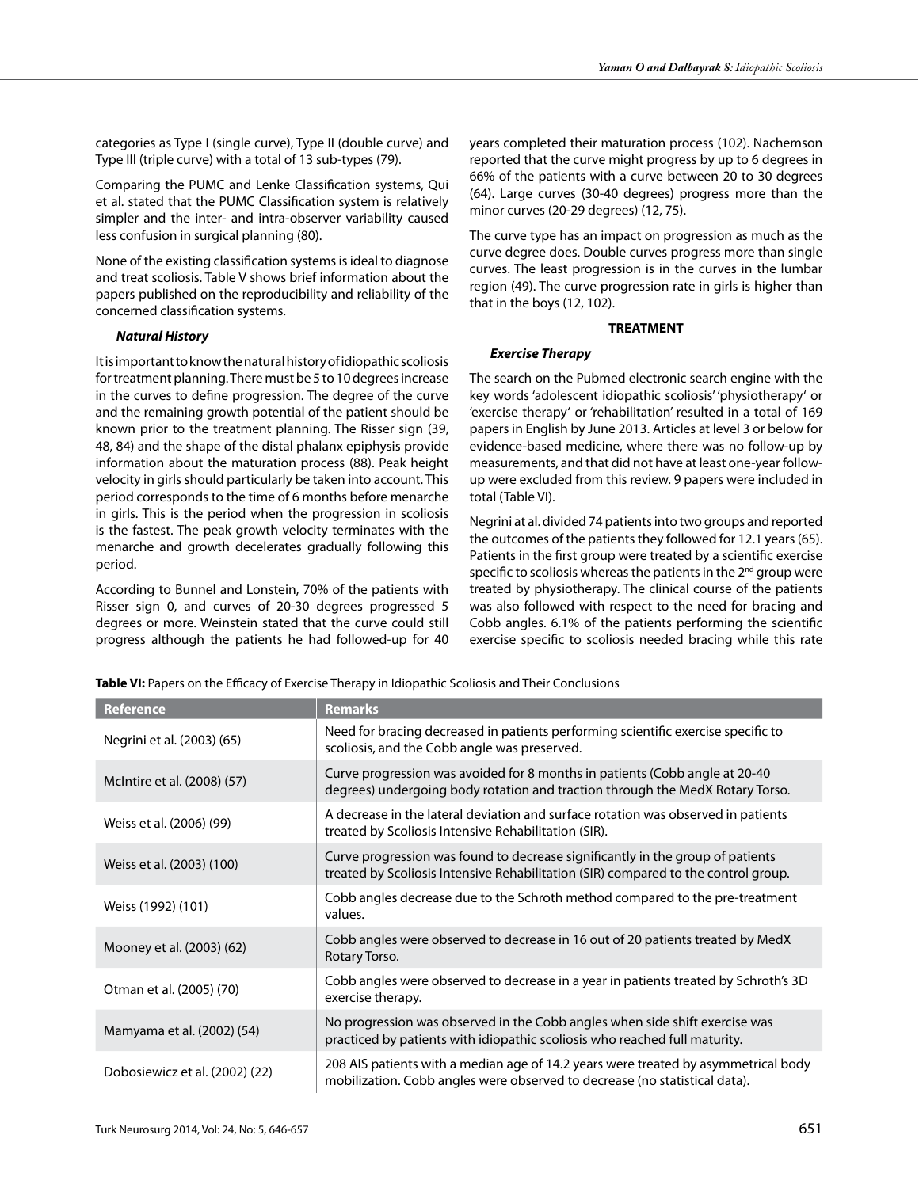categories as Type I (single curve), Type II (double curve) and Type III (triple curve) with a total of 13 sub-types (79).

Comparing the PUMC and Lenke Classification systems, Qui et al. stated that the PUMC Classification system is relatively simpler and the inter- and intra-observer variability caused less confusion in surgical planning (80).

None of the existing classification systems is ideal to diagnose and treat scoliosis. Table V shows brief information about the papers published on the reproducibility and reliability of the concerned classification systems.

# *Natural History*

It is important to know the natural history of idiopathic scoliosis for treatment planning. There must be 5 to 10 degrees increase in the curves to define progression. The degree of the curve and the remaining growth potential of the patient should be known prior to the treatment planning. The Risser sign (39, 48, 84) and the shape of the distal phalanx epiphysis provide information about the maturation process (88). Peak height velocity in girls should particularly be taken into account. This period corresponds to the time of 6 months before menarche in girls. This is the period when the progression in scoliosis is the fastest. The peak growth velocity terminates with the menarche and growth decelerates gradually following this period.

According to Bunnel and Lonstein, 70% of the patients with Risser sign 0, and curves of 20-30 degrees progressed 5 degrees or more. Weinstein stated that the curve could still progress although the patients he had followed-up for 40 years completed their maturation process (102). Nachemson reported that the curve might progress by up to 6 degrees in 66% of the patients with a curve between 20 to 30 degrees (64). Large curves (30-40 degrees) progress more than the minor curves (20-29 degrees) (12, 75).

The curve type has an impact on progression as much as the curve degree does. Double curves progress more than single curves. The least progression is in the curves in the lumbar region (49). The curve progression rate in girls is higher than that in the boys (12, 102).

# **TREATMENT**

# *Exercise Therapy*

The search on the Pubmed electronic search engine with the key words 'adolescent idiopathic scoliosis' 'physiotherapy' or 'exercise therapy' or 'rehabilitation' resulted in a total of 169 papers in English by June 2013. Articles at level 3 or below for evidence-based medicine, where there was no follow-up by measurements, and that did not have at least one-year followup were excluded from this review. 9 papers were included in total (Table VI).

Negrini at al. divided 74 patients into two groups and reported the outcomes of the patients they followed for 12.1 years (65). Patients in the first group were treated by a scientific exercise specific to scoliosis whereas the patients in the 2<sup>nd</sup> group were treated by physiotherapy. The clinical course of the patients was also followed with respect to the need for bracing and Cobb angles. 6.1% of the patients performing the scientific exercise specific to scoliosis needed bracing while this rate

| Table VI: Papers on the Efficacy of Exercise Therapy in Idiopathic Scoliosis and Their Conclusions |  |  |  |
|----------------------------------------------------------------------------------------------------|--|--|--|
| .                                                                                                  |  |  |  |

| <b>Reference</b>               | <b>Remarks</b>                                                                                                                                                       |
|--------------------------------|----------------------------------------------------------------------------------------------------------------------------------------------------------------------|
| Negrini et al. (2003) (65)     | Need for bracing decreased in patients performing scientific exercise specific to<br>scoliosis, and the Cobb angle was preserved.                                    |
| McIntire et al. (2008) (57)    | Curve progression was avoided for 8 months in patients (Cobb angle at 20-40)<br>degrees) undergoing body rotation and traction through the MedX Rotary Torso.        |
| Weiss et al. (2006) (99)       | A decrease in the lateral deviation and surface rotation was observed in patients<br>treated by Scoliosis Intensive Rehabilitation (SIR).                            |
| Weiss et al. (2003) (100)      | Curve progression was found to decrease significantly in the group of patients<br>treated by Scoliosis Intensive Rehabilitation (SIR) compared to the control group. |
| Weiss (1992) (101)             | Cobb angles decrease due to the Schroth method compared to the pre-treatment<br>values.                                                                              |
| Mooney et al. (2003) (62)      | Cobb angles were observed to decrease in 16 out of 20 patients treated by MedX<br>Rotary Torso.                                                                      |
| Otman et al. (2005) (70)       | Cobb angles were observed to decrease in a year in patients treated by Schroth's 3D<br>exercise therapy.                                                             |
| Mamyama et al. (2002) (54)     | No progression was observed in the Cobb angles when side shift exercise was<br>practiced by patients with idiopathic scoliosis who reached full maturity.            |
| Dobosiewicz et al. (2002) (22) | 208 AIS patients with a median age of 14.2 years were treated by asymmetrical body<br>mobilization. Cobb angles were observed to decrease (no statistical data).     |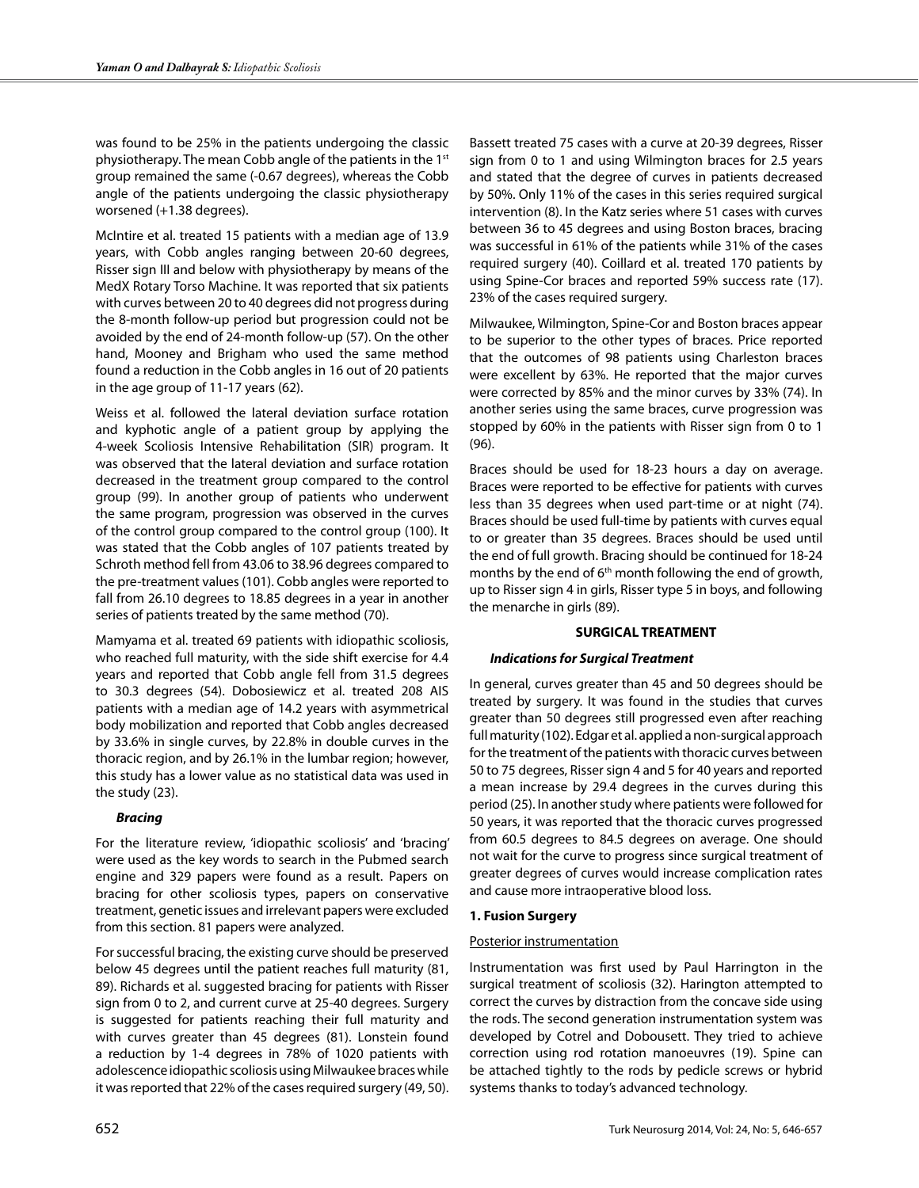was found to be 25% in the patients undergoing the classic physiotherapy. The mean Cobb angle of the patients in the 1<sup>st</sup> group remained the same (-0.67 degrees), whereas the Cobb angle of the patients undergoing the classic physiotherapy worsened (+1.38 degrees).

McIntire et al. treated 15 patients with a median age of 13.9 years, with Cobb angles ranging between 20-60 degrees, Risser sign III and below with physiotherapy by means of the MedX Rotary Torso Machine. It was reported that six patients with curves between 20 to 40 degrees did not progress during the 8-month follow-up period but progression could not be avoided by the end of 24-month follow-up (57). On the other hand, Mooney and Brigham who used the same method found a reduction in the Cobb angles in 16 out of 20 patients in the age group of 11-17 years (62).

Weiss et al. followed the lateral deviation surface rotation and kyphotic angle of a patient group by applying the 4-week Scoliosis Intensive Rehabilitation (SIR) program. It was observed that the lateral deviation and surface rotation decreased in the treatment group compared to the control group (99). In another group of patients who underwent the same program, progression was observed in the curves of the control group compared to the control group (100). It was stated that the Cobb angles of 107 patients treated by Schroth method fell from 43.06 to 38.96 degrees compared to the pre-treatment values (101). Cobb angles were reported to fall from 26.10 degrees to 18.85 degrees in a year in another series of patients treated by the same method (70).

Mamyama et al. treated 69 patients with idiopathic scoliosis, who reached full maturity, with the side shift exercise for 4.4 years and reported that Cobb angle fell from 31.5 degrees to 30.3 degrees (54). Dobosiewicz et al. treated 208 AIS patients with a median age of 14.2 years with asymmetrical body mobilization and reported that Cobb angles decreased by 33.6% in single curves, by 22.8% in double curves in the thoracic region, and by 26.1% in the lumbar region; however, this study has a lower value as no statistical data was used in the study (23).

# *Bracing*

For the literature review, 'idiopathic scoliosis' and 'bracing' were used as the key words to search in the Pubmed search engine and 329 papers were found as a result. Papers on bracing for other scoliosis types, papers on conservative treatment, genetic issues and irrelevant papers were excluded from this section. 81 papers were analyzed.

For successful bracing, the existing curve should be preserved below 45 degrees until the patient reaches full maturity (81, 89). Richards et al. suggested bracing for patients with Risser sign from 0 to 2, and current curve at 25-40 degrees. Surgery is suggested for patients reaching their full maturity and with curves greater than 45 degrees (81). Lonstein found a reduction by 1-4 degrees in 78% of 1020 patients with adolescence idiopathic scoliosis using Milwaukee braces while it was reported that 22% of the cases required surgery (49, 50).

Bassett treated 75 cases with a curve at 20-39 degrees, Risser sign from 0 to 1 and using Wilmington braces for 2.5 years and stated that the degree of curves in patients decreased by 50%. Only 11% of the cases in this series required surgical intervention (8). In the Katz series where 51 cases with curves between 36 to 45 degrees and using Boston braces, bracing was successful in 61% of the patients while 31% of the cases required surgery (40). Coillard et al. treated 170 patients by using Spine-Cor braces and reported 59% success rate (17). 23% of the cases required surgery.

Milwaukee, Wilmington, Spine-Cor and Boston braces appear to be superior to the other types of braces. Price reported that the outcomes of 98 patients using Charleston braces were excellent by 63%. He reported that the major curves were corrected by 85% and the minor curves by 33% (74). In another series using the same braces, curve progression was stopped by 60% in the patients with Risser sign from 0 to 1 (96).

Braces should be used for 18-23 hours a day on average. Braces were reported to be effective for patients with curves less than 35 degrees when used part-time or at night (74). Braces should be used full-time by patients with curves equal to or greater than 35 degrees. Braces should be used until the end of full growth. Bracing should be continued for 18-24 months by the end of 6<sup>th</sup> month following the end of growth, up to Risser sign 4 in girls, Risser type 5 in boys, and following the menarche in girls (89).

# **SURGICAL TREATMENT**

# *Indications for Surgical Treatment*

In general, curves greater than 45 and 50 degrees should be treated by surgery. It was found in the studies that curves greater than 50 degrees still progressed even after reaching full maturity (102). Edgar et al. applied a non-surgical approach for the treatment of the patients with thoracic curves between 50 to 75 degrees, Risser sign 4 and 5 for 40 years and reported a mean increase by 29.4 degrees in the curves during this period (25). In another study where patients were followed for 50 years, it was reported that the thoracic curves progressed from 60.5 degrees to 84.5 degrees on average. One should not wait for the curve to progress since surgical treatment of greater degrees of curves would increase complication rates and cause more intraoperative blood loss.

# **1. Fusion Surgery**

# Posterior instrumentation

Instrumentation was first used by Paul Harrington in the surgical treatment of scoliosis (32). Harington attempted to correct the curves by distraction from the concave side using the rods. The second generation instrumentation system was developed by Cotrel and Dobousett. They tried to achieve correction using rod rotation manoeuvres (19). Spine can be attached tightly to the rods by pedicle screws or hybrid systems thanks to today's advanced technology.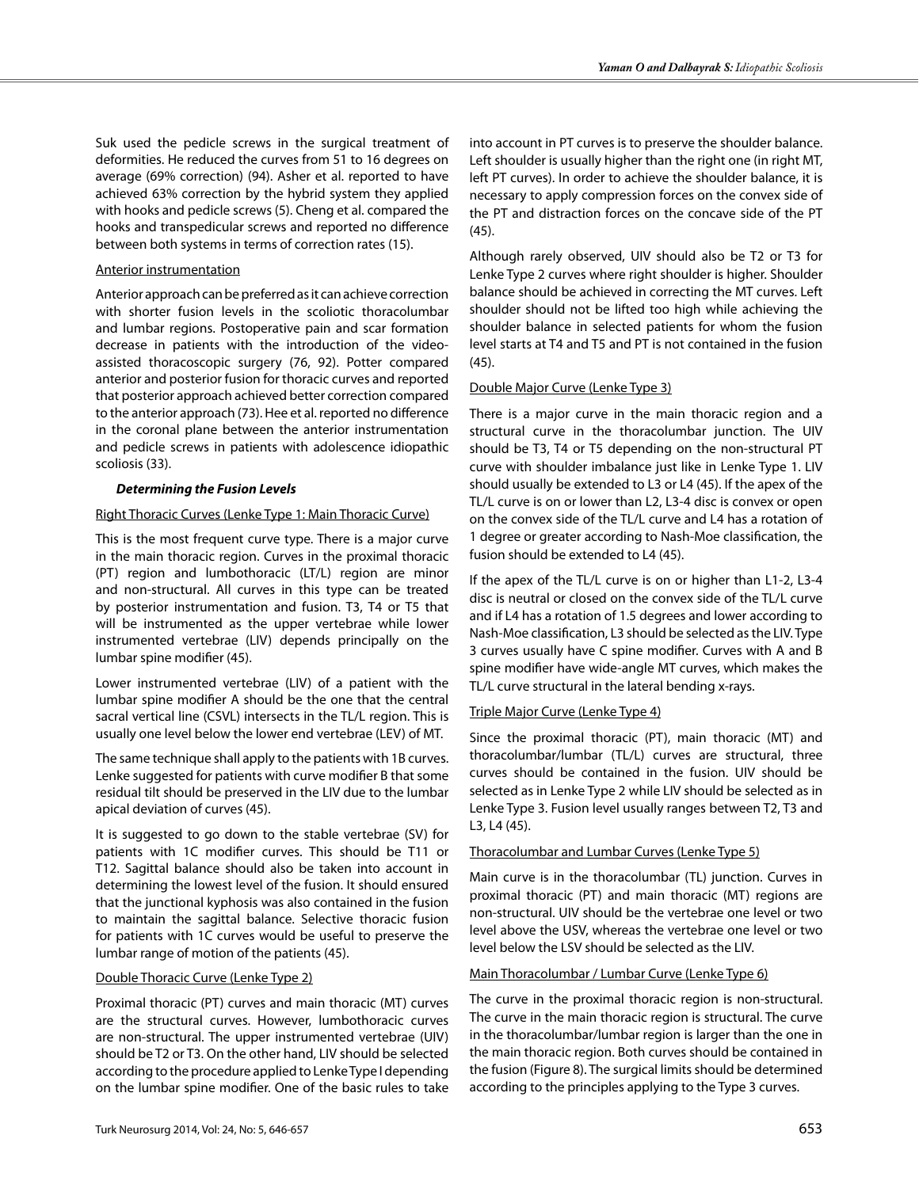Suk used the pedicle screws in the surgical treatment of deformities. He reduced the curves from 51 to 16 degrees on average (69% correction) (94). Asher et al. reported to have achieved 63% correction by the hybrid system they applied with hooks and pedicle screws (5). Cheng et al. compared the hooks and transpedicular screws and reported no difference between both systems in terms of correction rates (15).

# Anterior instrumentation

Anterior approach can be preferred as it can achieve correction with shorter fusion levels in the scoliotic thoracolumbar and lumbar regions. Postoperative pain and scar formation decrease in patients with the introduction of the videoassisted thoracoscopic surgery (76, 92). Potter compared anterior and posterior fusion for thoracic curves and reported that posterior approach achieved better correction compared to the anterior approach (73). Hee et al. reported no difference in the coronal plane between the anterior instrumentation and pedicle screws in patients with adolescence idiopathic scoliosis (33).

# *Determining the Fusion Levels*

# Right Thoracic Curves (Lenke Type 1: Main Thoracic Curve)

This is the most frequent curve type. There is a major curve in the main thoracic region. Curves in the proximal thoracic (PT) region and lumbothoracic (LT/L) region are minor and non-structural. All curves in this type can be treated by posterior instrumentation and fusion. T3, T4 or T5 that will be instrumented as the upper vertebrae while lower instrumented vertebrae (LIV) depends principally on the lumbar spine modifier (45).

Lower instrumented vertebrae (LIV) of a patient with the lumbar spine modifier A should be the one that the central sacral vertical line (CSVL) intersects in the TL/L region. This is usually one level below the lower end vertebrae (LEV) of MT.

The same technique shall apply to the patients with 1B curves. Lenke suggested for patients with curve modifier B that some residual tilt should be preserved in the LIV due to the lumbar apical deviation of curves (45).

It is suggested to go down to the stable vertebrae (SV) for patients with 1C modifier curves. This should be T11 or T12. Sagittal balance should also be taken into account in determining the lowest level of the fusion. It should ensured that the junctional kyphosis was also contained in the fusion to maintain the sagittal balance. Selective thoracic fusion for patients with 1C curves would be useful to preserve the lumbar range of motion of the patients (45).

# Double Thoracic Curve (Lenke Type 2)

Proximal thoracic (PT) curves and main thoracic (MT) curves are the structural curves. However, lumbothoracic curves are non-structural. The upper instrumented vertebrae (UIV) should be T2 or T3. On the other hand, LIV should be selected according to the procedure applied to Lenke Type I depending on the lumbar spine modifier. One of the basic rules to take into account in PT curves is to preserve the shoulder balance. Left shoulder is usually higher than the right one (in right MT, left PT curves). In order to achieve the shoulder balance, it is necessary to apply compression forces on the convex side of the PT and distraction forces on the concave side of the PT (45).

Although rarely observed, UIV should also be T2 or T3 for Lenke Type 2 curves where right shoulder is higher. Shoulder balance should be achieved in correcting the MT curves. Left shoulder should not be lifted too high while achieving the shoulder balance in selected patients for whom the fusion level starts at T4 and T5 and PT is not contained in the fusion (45).

# Double Major Curve (Lenke Type 3)

There is a major curve in the main thoracic region and a structural curve in the thoracolumbar junction. The UIV should be T3, T4 or T5 depending on the non-structural PT curve with shoulder imbalance just like in Lenke Type 1. LIV should usually be extended to L3 or L4 (45). If the apex of the TL/L curve is on or lower than L2, L3-4 disc is convex or open on the convex side of the TL/L curve and L4 has a rotation of 1 degree or greater according to Nash-Moe classification, the fusion should be extended to L4 (45).

If the apex of the TL/L curve is on or higher than L1-2, L3-4 disc is neutral or closed on the convex side of the TL/L curve and if L4 has a rotation of 1.5 degrees and lower according to Nash-Moe classification, L3 should be selected as the LIV. Type 3 curves usually have C spine modifier. Curves with A and B spine modifier have wide-angle MT curves, which makes the TL/L curve structural in the lateral bending x-rays.

# Triple Major Curve (Lenke Type 4)

Since the proximal thoracic (PT), main thoracic (MT) and thoracolumbar/lumbar (TL/L) curves are structural, three curves should be contained in the fusion. UIV should be selected as in Lenke Type 2 while LIV should be selected as in Lenke Type 3. Fusion level usually ranges between T2, T3 and L3, L4 (45).

# Thoracolumbar and Lumbar Curves (Lenke Type 5)

Main curve is in the thoracolumbar (TL) junction. Curves in proximal thoracic (PT) and main thoracic (MT) regions are non-structural. UIV should be the vertebrae one level or two level above the USV, whereas the vertebrae one level or two level below the LSV should be selected as the LIV.

# Main Thoracolumbar / Lumbar Curve (Lenke Type 6)

The curve in the proximal thoracic region is non-structural. The curve in the main thoracic region is structural. The curve in the thoracolumbar/lumbar region is larger than the one in the main thoracic region. Both curves should be contained in the fusion (Figure 8). The surgical limits should be determined according to the principles applying to the Type 3 curves.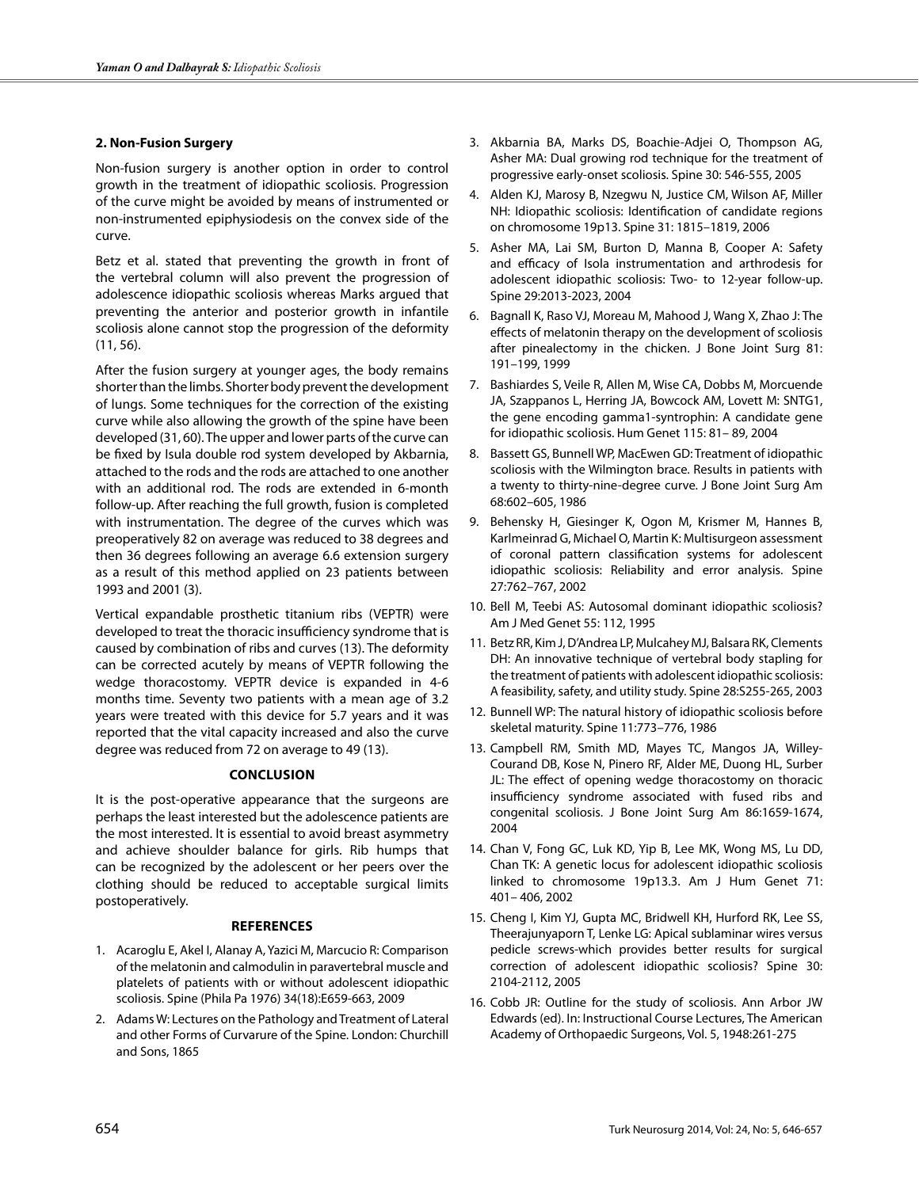# **2. Non-Fusion Surgery**

Non-fusion surgery is another option in order to control growth in the treatment of idiopathic scoliosis. Progression of the curve might be avoided by means of instrumented or non-instrumented epiphysiodesis on the convex side of the curve.

Betz et al. stated that preventing the growth in front of the vertebral column will also prevent the progression of adolescence idiopathic scoliosis whereas Marks argued that preventing the anterior and posterior growth in infantile scoliosis alone cannot stop the progression of the deformity (11, 56).

After the fusion surgery at younger ages, the body remains shorter than the limbs. Shorter body prevent the development of lungs. Some techniques for the correction of the existing curve while also allowing the growth of the spine have been developed (31, 60). The upper and lower parts of the curve can be fixed by Isula double rod system developed by Akbarnia, attached to the rods and the rods are attached to one another with an additional rod. The rods are extended in 6-month follow-up. After reaching the full growth, fusion is completed with instrumentation. The degree of the curves which was preoperatively 82 on average was reduced to 38 degrees and then 36 degrees following an average 6.6 extension surgery as a result of this method applied on 23 patients between 1993 and 2001 (3).

Vertical expandable prosthetic titanium ribs (VEPTR) were developed to treat the thoracic insufficiency syndrome that is caused by combination of ribs and curves (13). The deformity can be corrected acutely by means of VEPTR following the wedge thoracostomy. VEPTR device is expanded in 4-6 months time. Seventy two patients with a mean age of 3.2 years were treated with this device for 5.7 years and it was reported that the vital capacity increased and also the curve degree was reduced from 72 on average to 49 (13).

# **Conclusion**

It is the post-operative appearance that the surgeons are perhaps the least interested but the adolescence patients are the most interested. It is essential to avoid breast asymmetry and achieve shoulder balance for girls. Rib humps that can be recognized by the adolescent or her peers over the clothing should be reduced to acceptable surgical limits postoperatively.

# **References**

- 1. Acaroglu E, Akel I, Alanay A, Yazici M, Marcucio R: Comparison of the melatonin and calmodulin in paravertebral muscle and platelets of patients with or without adolescent idiopathic scoliosis. Spine (Phila Pa 1976) 34(18):E659-663, 2009
- 2. Adams W: Lectures on the Pathology and Treatment of Lateral and other Forms of Curvarure of the Spine. London: Churchill and Sons, 1865
- 3. Akbarnia BA, Marks DS, Boachie-Adjei O, Thompson AG, Asher MA: Dual growing rod technique for the treatment of progressive early-onset scoliosis. Spine 30: 546-555, 2005
- 4. Alden KJ, Marosy B, Nzegwu N, Justice CM, Wilson AF, Miller NH: Idiopathic scoliosis: Identification of candidate regions on chromosome 19p13. Spine 31: 1815–1819, 2006
- 5. Asher MA, Lai SM, Burton D, Manna B, Cooper A: Safety and efficacy of Isola instrumentation and arthrodesis for adolescent idiopathic scoliosis: Two- to 12-year follow-up. Spine 29:2013-2023, 2004
- 6. Bagnall K, Raso VJ, Moreau M, Mahood J, Wang X, Zhao J: The effects of melatonin therapy on the development of scoliosis after pinealectomy in the chicken. J Bone Joint Surg 81: 191–199, 1999
- 7. Bashiardes S, Veile R, Allen M, Wise CA, Dobbs M, Morcuende JA, Szappanos L, Herring JA, Bowcock AM, Lovett M: SNTG1, the gene encoding gamma1-syntrophin: A candidate gene for idiopathic scoliosis. Hum Genet 115: 81– 89, 2004
- 8. Bassett GS, Bunnell WP, MacEwen GD: Treatment of idiopathic scoliosis with the Wilmington brace. Results in patients with a twenty to thirty-nine-degree curve. J Bone Joint Surg Am 68:602–605, 1986
- 9. Behensky H, Giesinger K, Ogon M, Krismer M, Hannes B, Karlmeinrad G, Michael O, Martin K: Multisurgeon assessment of coronal pattern classification systems for adolescent idiopathic scoliosis: Reliability and error analysis. Spine 27:762–767, 2002
- 10. Bell M, Teebi AS: Autosomal dominant idiopathic scoliosis? Am J Med Genet 55: 112, 1995
- 11. Betz RR, Kim J, D'Andrea LP, Mulcahey MJ, Balsara RK, Clements DH: An innovative technique of vertebral body stapling for the treatment of patients with adolescent idiopathic scoliosis: A feasibility, safety, and utility study. Spine 28:S255-265, 2003
- 12. Bunnell WP: The natural history of idiopathic scoliosis before skeletal maturity. Spine 11:773–776, 1986
- 13. Campbell RM, Smith MD, Mayes TC, Mangos JA, Willey-Courand DB, Kose N, Pinero RF, Alder ME, Duong HL, Surber JL: The effect of opening wedge thoracostomy on thoracic insufficiency syndrome associated with fused ribs and congenital scoliosis. J Bone Joint Surg Am 86:1659-1674, 2004
- 14. Chan V, Fong GC, Luk KD, Yip B, Lee MK, Wong MS, Lu DD, Chan TK: A genetic locus for adolescent idiopathic scoliosis linked to chromosome 19p13.3. Am J Hum Genet 71: 401– 406, 2002
- 15. Cheng I, Kim YJ, Gupta MC, Bridwell KH, Hurford RK, Lee SS, Theerajunyaporn T, Lenke LG: Apical sublaminar wires versus pedicle screws-which provides better results for surgical correction of adolescent idiopathic scoliosis? Spine 30: 2104-2112, 2005
- 16. Cobb JR: Outline for the study of scoliosis. Ann Arbor JW Edwards (ed). In: Instructional Course Lectures, The American Academy of Orthopaedic Surgeons, Vol. 5, 1948:261-275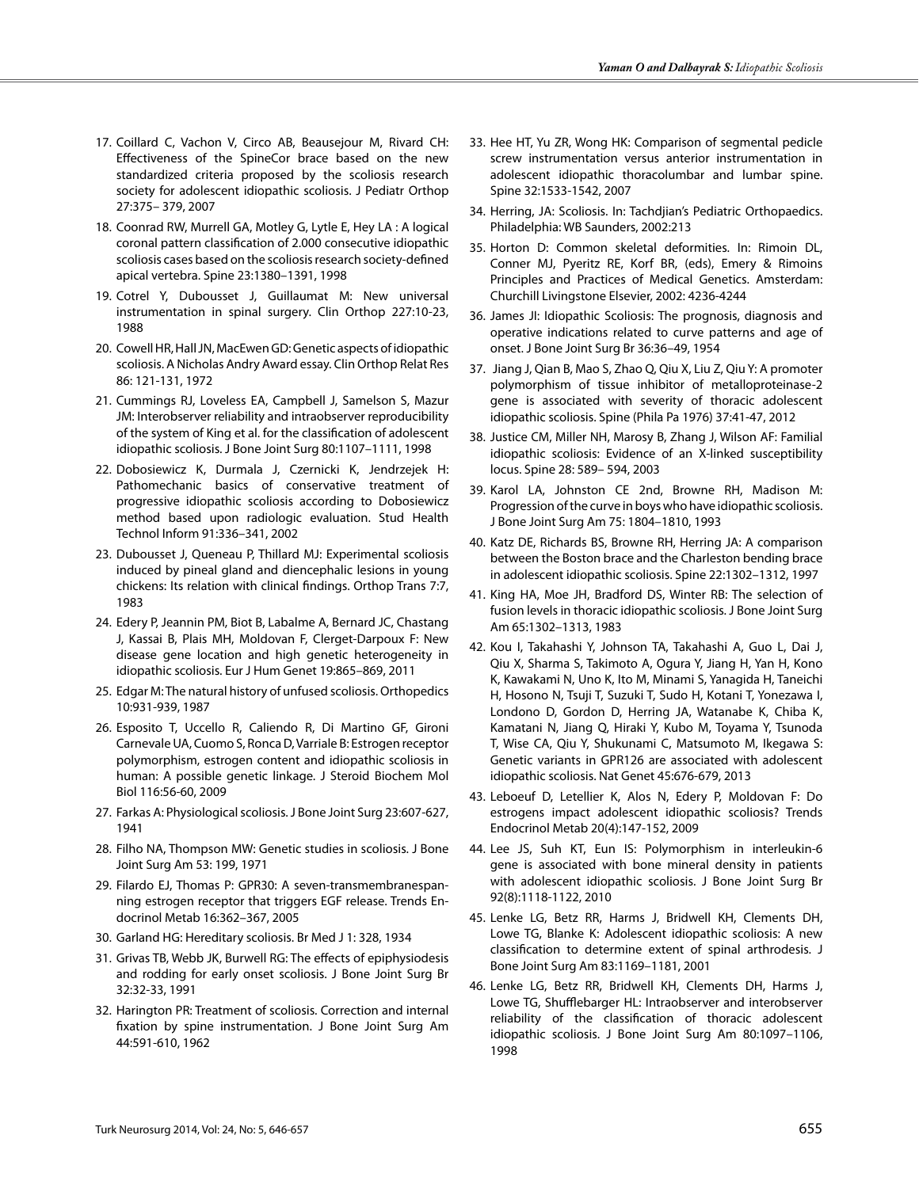- 17. Coillard C, Vachon V, Circo AB, Beausejour M, Rivard CH: Effectiveness of the SpineCor brace based on the new standardized criteria proposed by the scoliosis research society for adolescent idiopathic scoliosis. J Pediatr Orthop 27:375– 379, 2007
- 18. Coonrad RW, Murrell GA, Motley G, Lytle E, Hey LA : A logical coronal pattern classification of 2.000 consecutive idiopathic scoliosis cases based on the scoliosis research society-defined apical vertebra. Spine 23:1380–1391, 1998
- 19. Cotrel Y, Dubousset J, Guillaumat M: New universal instrumentation in spinal surgery. Clin Orthop 227:10-23, 1988
- 20. Cowell HR, Hall JN, MacEwen GD: Genetic aspects of idiopathic scoliosis. A Nicholas Andry Award essay. Clin Orthop Relat Res 86: 121-131, 1972
- 21. Cummings RJ, Loveless EA, Campbell J, Samelson S, Mazur JM: Interobserver reliability and intraobserver reproducibility of the system of King et al. for the classification of adolescent idiopathic scoliosis. J Bone Joint Surg 80:1107–1111, 1998
- 22. Dobosiewicz K, Durmala J, Czernicki K, Jendrzejek H: Pathomechanic basics of conservative treatment of progressive idiopathic scoliosis according to Dobosiewicz method based upon radiologic evaluation. Stud Health Technol Inform 91:336–341, 2002
- 23. Dubousset J, Queneau P, Thillard MJ: Experimental scoliosis induced by pineal gland and diencephalic lesions in young chickens: Its relation with clinical findings. Orthop Trans 7:7, 1983
- 24. Edery P, Jeannin PM, Biot B, Labalme A, Bernard JC, Chastang J, Kassai B, Plais MH, Moldovan F, Clerget-Darpoux F: New disease gene location and high genetic heterogeneity in idiopathic scoliosis. Eur J Hum Genet 19:865–869, 2011
- 25. Edgar M: The natural history of unfused scoliosis. Orthopedics 10:931-939, 1987
- 26. Esposito T, Uccello R, Caliendo R, Di Martino GF, Gironi Carnevale UA, Cuomo S, Ronca D, Varriale B: Estrogen receptor polymorphism, estrogen content and idiopathic scoliosis in human: A possible genetic linkage. J Steroid Biochem Mol Biol 116:56-60, 2009
- 27. Farkas A: Physiological scoliosis. J Bone Joint Surg 23:607-627, 1941
- 28. Filho NA, Thompson MW: Genetic studies in scoliosis. J Bone Joint Surg Am 53: 199, 1971
- 29. Filardo EJ, Thomas P: GPR30: A seven-transmembranespanning estrogen receptor that triggers EGF release. Trends Endocrinol Metab 16:362–367, 2005
- 30. Garland HG: Hereditary scoliosis. Br Med J 1: 328, 1934
- 31. Grivas TB, Webb JK, Burwell RG: The effects of epiphysiodesis and rodding for early onset scoliosis. J Bone Joint Surg Br 32:32-33, 1991
- 32. Harington PR: Treatment of scoliosis. Correction and internal fixation by spine instrumentation. J Bone Joint Surg Am 44:591-610, 1962
- 33. Hee HT, Yu ZR, Wong HK: Comparison of segmental pedicle screw instrumentation versus anterior instrumentation in adolescent idiopathic thoracolumbar and lumbar spine. Spine 32:1533-1542, 2007
- 34. Herring, JA: Scoliosis. In: Tachdjian's Pediatric Orthopaedics. Philadelphia: WB Saunders, 2002:213
- 35. Horton D: Common skeletal deformities. In: Rimoin DL, Conner MJ, Pyeritz RE, Korf BR, (eds), Emery & Rimoins Principles and Practices of Medical Genetics. Amsterdam: Churchill Livingstone Elsevier, 2002: 4236-4244
- 36. James JI: Idiopathic Scoliosis: The prognosis, diagnosis and operative indications related to curve patterns and age of onset. J Bone Joint Surg Br 36:36–49, 1954
- 37. Jiang J, Qian B, Mao S, Zhao Q, Qiu X, Liu Z, Qiu Y: A promoter polymorphism of tissue inhibitor of metalloproteinase-2 gene is associated with severity of thoracic adolescent idiopathic scoliosis. Spine (Phila Pa 1976) 37:41-47, 2012
- 38. Justice CM, Miller NH, Marosy B, Zhang J, Wilson AF: Familial idiopathic scoliosis: Evidence of an X-linked susceptibility locus. Spine 28: 589– 594, 2003
- 39. Karol LA, Johnston CE 2nd, Browne RH, Madison M: Progression of the curve in boys who have idiopathic scoliosis. J Bone Joint Surg Am 75: 1804–1810, 1993
- 40. Katz DE, Richards BS, Browne RH, Herring JA: A comparison between the Boston brace and the Charleston bending brace in adolescent idiopathic scoliosis. Spine 22:1302–1312, 1997
- 41. King HA, Moe JH, Bradford DS, Winter RB: The selection of fusion levels in thoracic idiopathic scoliosis. J Bone Joint Surg Am 65:1302–1313, 1983
- 42. Kou I, Takahashi Y, Johnson TA, Takahashi A, Guo L, Dai J, Qiu X, Sharma S, Takimoto A, Ogura Y, Jiang H, Yan H, Kono K, Kawakami N, Uno K, Ito M, Minami S, Yanagida H, Taneichi H, Hosono N, Tsuji T, Suzuki T, Sudo H, Kotani T, Yonezawa I, Londono D, Gordon D, Herring JA, Watanabe K, Chiba K, Kamatani N, Jiang Q, Hiraki Y, Kubo M, Toyama Y, Tsunoda T, Wise CA, Qiu Y, Shukunami C, Matsumoto M, Ikegawa S: Genetic variants in GPR126 are associated with adolescent idiopathic scoliosis. Nat Genet 45:676-679, 2013
- 43. Leboeuf D, Letellier K, Alos N, Edery P, Moldovan F: Do estrogens impact adolescent idiopathic scoliosis? Trends Endocrinol Metab 20(4):147-152, 2009
- 44. Lee JS, Suh KT, Eun IS: Polymorphism in interleukin-6 gene is associated with bone mineral density in patients with adolescent idiopathic scoliosis. J Bone Joint Surg Br 92(8):1118-1122, 2010
- 45. Lenke LG, Betz RR, Harms J, Bridwell KH, Clements DH, Lowe TG, Blanke K: Adolescent idiopathic scoliosis: A new classification to determine extent of spinal arthrodesis. J Bone Joint Surg Am 83:1169–1181, 2001
- 46. Lenke LG, Betz RR, Bridwell KH, Clements DH, Harms J, Lowe TG, Shufflebarger HL: Intraobserver and interobserver reliability of the classification of thoracic adolescent idiopathic scoliosis. J Bone Joint Surg Am 80:1097–1106, 1998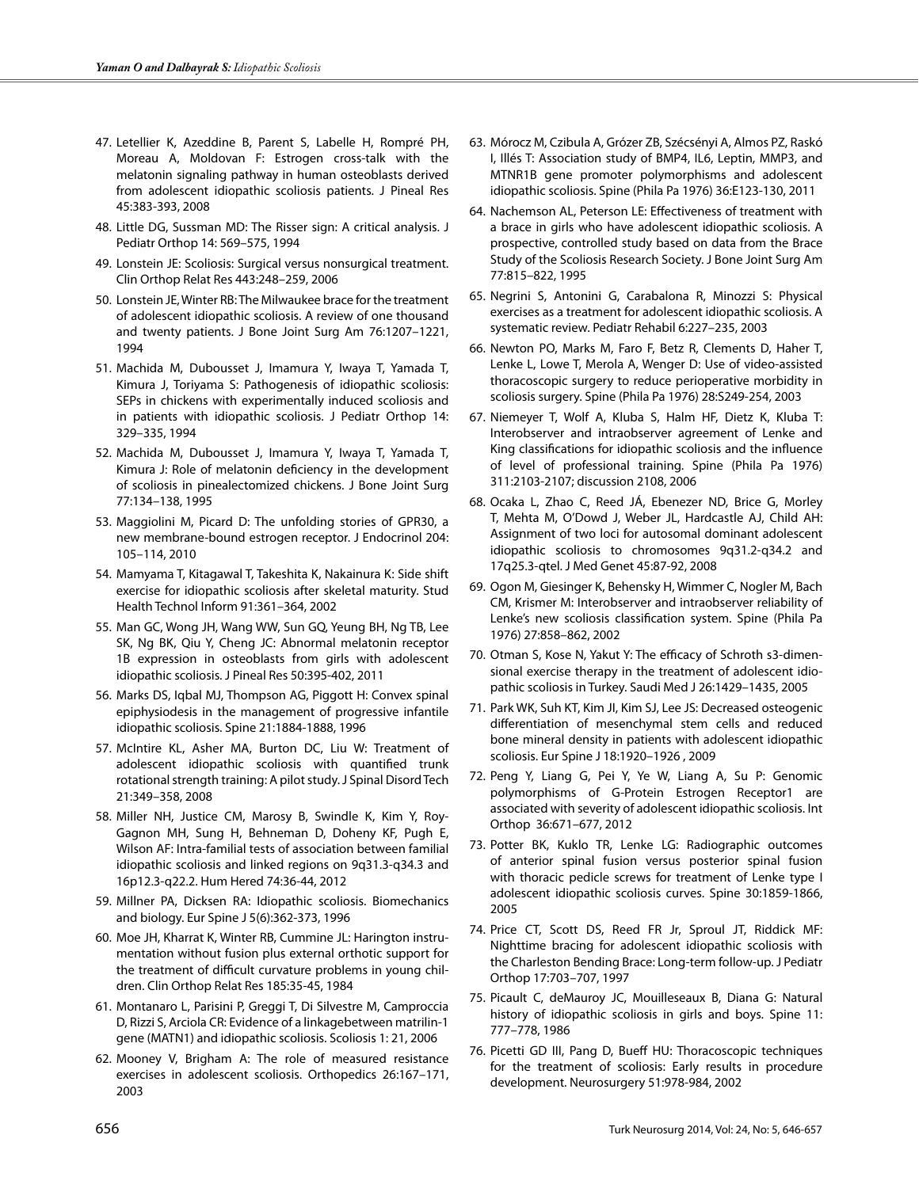- 47. Letellier K, Azeddine B, Parent S, Labelle H, Rompré PH, Moreau A, Moldovan F: Estrogen cross-talk with the melatonin signaling pathway in human osteoblasts derived from adolescent idiopathic scoliosis patients. J Pineal Res 45:383-393, 2008
- 48. Little DG, Sussman MD: The Risser sign: A critical analysis. J Pediatr Orthop 14: 569–575, 1994
- 49. Lonstein JE: Scoliosis: Surgical versus nonsurgical treatment. Clin Orthop Relat Res 443:248–259, 2006
- 50. Lonstein JE, Winter RB: The Milwaukee brace for the treatment of adolescent idiopathic scoliosis. A review of one thousand and twenty patients. J Bone Joint Surg Am 76:1207–1221, 1994
- 51. Machida M, Dubousset J, Imamura Y, Iwaya T, Yamada T, Kimura J, Toriyama S: Pathogenesis of idiopathic scoliosis: SEPs in chickens with experimentally induced scoliosis and in patients with idiopathic scoliosis. J Pediatr Orthop 14: 329–335, 1994
- 52. Machida M, Dubousset J, Imamura Y, Iwaya T, Yamada T, Kimura J: Role of melatonin deficiency in the development of scoliosis in pinealectomized chickens. J Bone Joint Surg 77:134–138, 1995
- 53. Maggiolini M, Picard D: The unfolding stories of GPR30, a new membrane-bound estrogen receptor. J Endocrinol 204: 105–114, 2010
- 54. Mamyama T, Kitagawal T, Takeshita K, Nakainura K: Side shift exercise for idiopathic scoliosis after skeletal maturity. Stud Health Technol Inform 91:361–364, 2002
- 55. Man GC, Wong JH, Wang WW, Sun GQ, Yeung BH, Ng TB, Lee SK, Ng BK, Qiu Y, Cheng JC: Abnormal melatonin receptor 1B expression in osteoblasts from girls with adolescent idiopathic scoliosis. J Pineal Res 50:395-402, 2011
- 56. Marks DS, Iqbal MJ, Thompson AG, Piggott H: Convex spinal epiphysiodesis in the management of progressive infantile idiopathic scoliosis. Spine 21:1884-1888, 1996
- 57. McIntire KL, Asher MA, Burton DC, Liu W: Treatment of adolescent idiopathic scoliosis with quantified trunk rotational strength training: A pilot study. J Spinal Disord Tech 21:349–358, 2008
- 58. Miller NH, Justice CM, Marosy B, Swindle K, Kim Y, Roy-Gagnon MH, Sung H, Behneman D, Doheny KF, Pugh E, Wilson AF: Intra-familial tests of association between familial idiopathic scoliosis and linked regions on 9q31.3-q34.3 and 16p12.3-q22.2. Hum Hered 74:36-44, 2012
- 59. Millner PA, Dicksen RA: Idiopathic scoliosis. Biomechanics and biology. Eur Spine J 5(6):362-373, 1996
- 60. Moe JH, Kharrat K, Winter RB, Cummine JL: Harington instrumentation without fusion plus external orthotic support for the treatment of difficult curvature problems in young children. Clin Orthop Relat Res 185:35-45, 1984
- 61. Montanaro L, Parisini P, Greggi T, Di Silvestre M, Camproccia D, Rizzi S, Arciola CR: Evidence of a linkagebetween matrilin-1 gene (MATN1) and idiopathic scoliosis. Scoliosis 1: 21, 2006
- 62. Mooney V, Brigham A: The role of measured resistance exercises in adolescent scoliosis. Orthopedics 26:167–171, 2003
- 63. Mórocz M, Czibula A, Grózer ZB, Szécsényi A, Almos PZ, Raskó I, Illés T: Association study of BMP4, IL6, Leptin, MMP3, and MTNR1B gene promoter polymorphisms and adolescent idiopathic scoliosis. Spine (Phila Pa 1976) 36:E123-130, 2011
- 64. Nachemson AL, Peterson LE: Effectiveness of treatment with a brace in girls who have adolescent idiopathic scoliosis. A prospective, controlled study based on data from the Brace Study of the Scoliosis Research Society. J Bone Joint Surg Am 77:815–822, 1995
- 65. Negrini S, Antonini G, Carabalona R, Minozzi S: Physical exercises as a treatment for adolescent idiopathic scoliosis. A systematic review. Pediatr Rehabil 6:227–235, 2003
- 66. Newton PO, Marks M, Faro F, Betz R, Clements D, Haher T, Lenke L, Lowe T, Merola A, Wenger D: Use of video-assisted thoracoscopic surgery to reduce perioperative morbidity in scoliosis surgery. Spine (Phila Pa 1976) 28:S249-254, 2003
- 67. Niemeyer T, Wolf A, Kluba S, Halm HF, Dietz K, Kluba T: Interobserver and intraobserver agreement of Lenke and King classifications for idiopathic scoliosis and the influence of level of professional training. Spine (Phila Pa 1976) 311:2103-2107; discussion 2108, 2006
- 68. Ocaka L, Zhao C, Reed JÁ, Ebenezer ND, Brice G, Morley T, Mehta M, O'Dowd J, Weber JL, Hardcastle AJ, Child AH: Assignment of two loci for autosomal dominant adolescent idiopathic scoliosis to chromosomes 9q31.2-q34.2 and 17q25.3-qtel. J Med Genet 45:87-92, 2008
- 69. Ogon M, Giesinger K, Behensky H, Wimmer C, Nogler M, Bach CM, Krismer M: Interobserver and intraobserver reliability of Lenke's new scoliosis classification system. Spine (Phila Pa 1976) 27:858–862, 2002
- 70. Otman S, Kose N, Yakut Y: The efficacy of Schroth s3-dimensional exercise therapy in the treatment of adolescent idiopathic scoliosis in Turkey. Saudi Med J 26:1429–1435, 2005
- 71. Park WK, Suh KT, Kim JI, Kim SJ, Lee JS: Decreased osteogenic differentiation of mesenchymal stem cells and reduced bone mineral density in patients with adolescent idiopathic scoliosis. Eur Spine J 18:1920–1926 , 2009
- 72. Peng Y, Liang G, Pei Y, Ye W, Liang A, Su P: Genomic polymorphisms of G-Protein Estrogen Receptor1 are associated with severity of adolescent idiopathic scoliosis. Int Orthop 36:671–677, 2012
- 73. Potter BK, Kuklo TR, Lenke LG: Radiographic outcomes of anterior spinal fusion versus posterior spinal fusion with thoracic pedicle screws for treatment of Lenke type I adolescent idiopathic scoliosis curves. Spine 30:1859-1866, 2005
- 74. Price CT, Scott DS, Reed FR Jr, Sproul JT, Riddick MF: Nighttime bracing for adolescent idiopathic scoliosis with the Charleston Bending Brace: Long-term follow-up. J Pediatr Orthop 17:703–707, 1997
- 75. Picault C, deMauroy JC, Mouilleseaux B, Diana G: Natural history of idiopathic scoliosis in girls and boys. Spine 11: 777–778, 1986
- 76. Picetti GD III, Pang D, Bueff HU: Thoracoscopic techniques for the treatment of scoliosis: Early results in procedure development. Neurosurgery 51:978-984, 2002